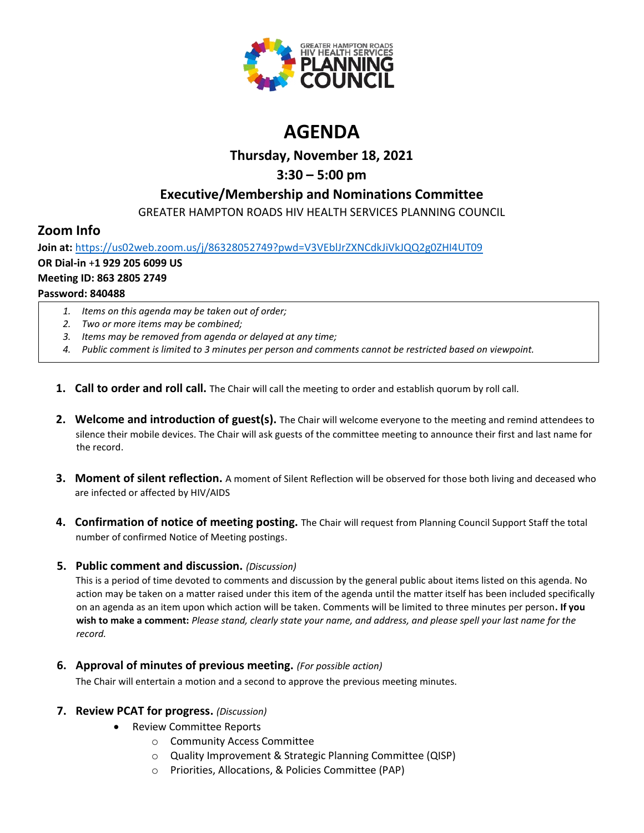

# **AGENDA**

### **Thursday, November 18, 2021**

## **3:30 – 5:00 pm**

### **Executive/Membership and Nominations Committee**

GREATER HAMPTON ROADS HIV HEALTH SERVICES PLANNING COUNCIL

### **Zoom Info**

**Join at:** <https://us02web.zoom.us/j/86328052749?pwd=V3VEblJrZXNCdkJiVkJQQ2g0ZHI4UT09> **OR Dial-in** +**1 929 205 6099 US Meeting ID: 863 2805 2749 Password: 840488**

- *1. Items on this agenda may be taken out of order;*
- *2. Two or more items may be combined;*
- *3. Items may be removed from agenda or delayed at any time;*
- *4. Public comment is limited to 3 minutes per person and comments cannot be restricted based on viewpoint.*
- **1. Call to order and roll call.** The Chair will call the meeting to order and establish quorum by roll call.
- **2. Welcome and introduction of guest(s).** The Chair will welcome everyone to the meeting and remind attendees to silence their mobile devices. The Chair will ask guests of the committee meeting to announce their first and last name for the record.
- **3. Moment of silent reflection.** A moment of Silent Reflection will be observed for those both living and deceased who are infected or affected by HIV/AIDS
- **4. Confirmation of notice of meeting posting.** The Chair will request from Planning Council Support Staff the total number of confirmed Notice of Meeting postings.

#### **5. Public comment and discussion.** *(Discussion)*

This is a period of time devoted to comments and discussion by the general public about items listed on this agenda. No action may be taken on a matter raised under this item of the agenda until the matter itself has been included specifically on an agenda as an item upon which action will be taken. Comments will be limited to three minutes per person**. If you wish to make a comment:** *Please stand, clearly state your name, and address, and please spell your last name for the record.*

**6. Approval of minutes of previous meeting.** *(For possible action)*

The Chair will entertain a motion and a second to approve the previous meeting minutes.

#### **7. Review PCAT for progress.** *(Discussion)*

- Review Committee Reports
	- o Community Access Committee
	- o Quality Improvement & Strategic Planning Committee (QISP)
	- o Priorities, Allocations, & Policies Committee (PAP)